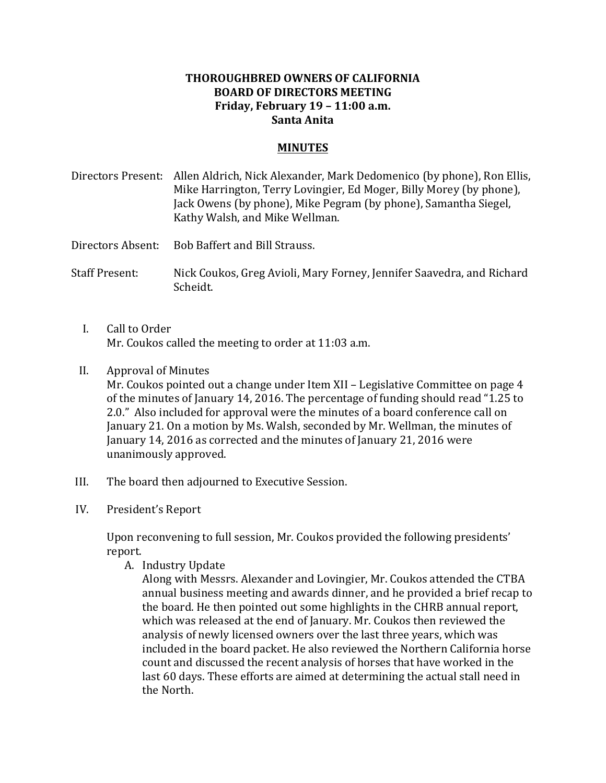## **THOROUGHBRED OWNERS OF CALIFORNIA BOARD OF DIRECTORS MEETING Friday, February 19 – 11:00 a.m. Santa Anita**

## **MINUTES**

- Directors Present: Allen Aldrich, Nick Alexander, Mark Dedomenico (by phone), Ron Ellis, Mike Harrington, Terry Lovingier, Ed Moger, Billy Morey (by phone), Jack Owens (by phone), Mike Pegram (by phone), Samantha Siegel, Kathy Walsh, and Mike Wellman.
- Directors Absent: Bob Baffert and Bill Strauss.
- Staff Present: Nick Coukos, Greg Avioli, Mary Forney, Jennifer Saavedra, and Richard Scheidt.
	- I. Call to Order Mr. Coukos called the meeting to order at 11:03 a.m.
	- II. Approval of Minutes Mr. Coukos pointed out a change under Item XII – Legislative Committee on page  $4$ of the minutes of January 14, 2016. The percentage of funding should read "1.25 to 2.0." Also included for approval were the minutes of a board conference call on January 21. On a motion by Ms. Walsh, seconded by Mr. Wellman, the minutes of January 14, 2016 as corrected and the minutes of January 21, 2016 were unanimously approved.
- III. The board then adjourned to Executive Session.
- IV. President's Report

Upon reconvening to full session, Mr. Coukos provided the following presidents' report.

- A. Industry Update
	- Along with Messrs. Alexander and Lovingier, Mr. Coukos attended the CTBA annual business meeting and awards dinner, and he provided a brief recap to the board. He then pointed out some highlights in the CHRB annual report, which was released at the end of January. Mr. Coukos then reviewed the analysis of newly licensed owners over the last three years, which was included in the board packet. He also reviewed the Northern California horse count and discussed the recent analysis of horses that have worked in the last 60 days. These efforts are aimed at determining the actual stall need in the North.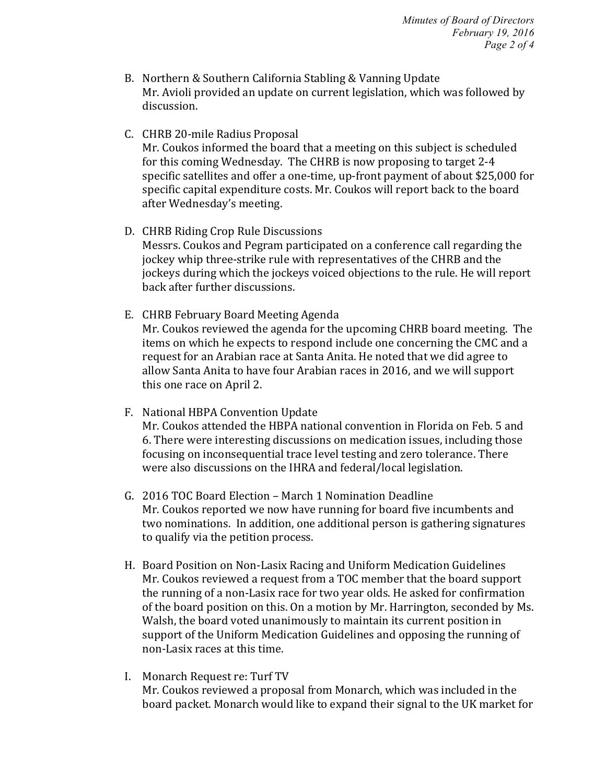- B. Northern & Southern California Stabling & Vanning Update Mr. Avioli provided an update on current legislation, which was followed by discussion.
- C. CHRB 20-mile Radius Proposal

Mr. Coukos informed the board that a meeting on this subject is scheduled for this coming Wednesday. The CHRB is now proposing to target 2-4 specific satellites and offer a one-time, up-front payment of about \$25,000 for specific capital expenditure costs. Mr. Coukos will report back to the board after Wednesday's meeting.

- D. CHRB Riding Crop Rule Discussions Messrs. Coukos and Pegram participated on a conference call regarding the jockey whip three-strike rule with representatives of the CHRB and the jockeys during which the jockeys voiced objections to the rule. He will report back after further discussions.
- E. CHRB February Board Meeting Agenda Mr. Coukos reviewed the agenda for the upcoming CHRB board meeting. The items on which he expects to respond include one concerning the CMC and a request for an Arabian race at Santa Anita. He noted that we did agree to allow Santa Anita to have four Arabian races in 2016, and we will support this one race on April 2.
- F. National HBPA Convention Update Mr. Coukos attended the HBPA national convention in Florida on Feb. 5 and 6. There were interesting discussions on medication issues, including those focusing on inconsequential trace level testing and zero tolerance. There were also discussions on the IHRA and federal/local legislation.
- G. 2016 TOC Board Election March 1 Nomination Deadline Mr. Coukos reported we now have running for board five incumbents and two nominations. In addition, one additional person is gathering signatures to qualify via the petition process.
- H. Board Position on Non-Lasix Racing and Uniform Medication Guidelines Mr. Coukos reviewed a request from a TOC member that the board support the running of a non-Lasix race for two year olds. He asked for confirmation of the board position on this. On a motion by Mr. Harrington, seconded by Ms. Walsh, the board voted unanimously to maintain its current position in support of the Uniform Medication Guidelines and opposing the running of non-Lasix races at this time.
- I. Monarch Request re: Turf TV Mr. Coukos reviewed a proposal from Monarch, which was included in the board packet. Monarch would like to expand their signal to the UK market for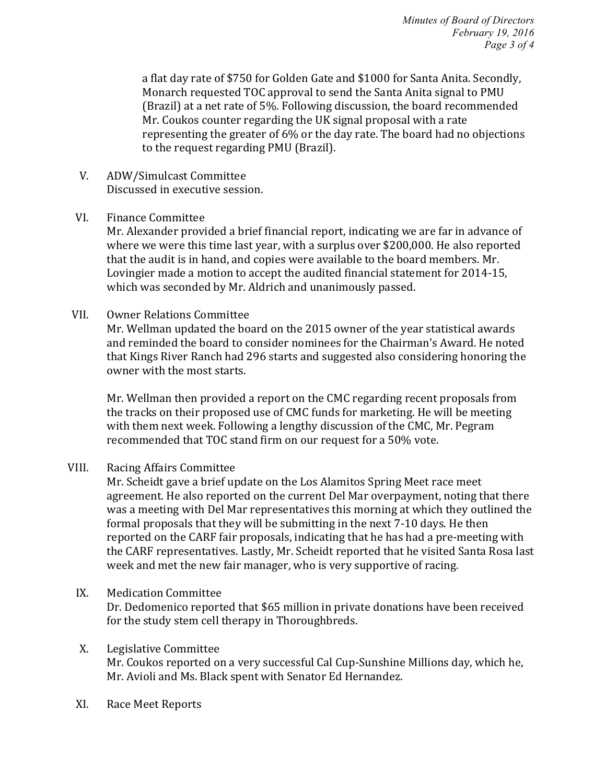*Minutes of Board of Directors February 19, 2016 Page 3 of 4*

a flat day rate of \$750 for Golden Gate and \$1000 for Santa Anita. Secondly, Monarch requested TOC approval to send the Santa Anita signal to PMU (Brazil) at a net rate of  $5\%$ . Following discussion, the board recommended Mr. Coukos counter regarding the UK signal proposal with a rate representing the greater of 6% or the day rate. The board had no objections to the request regarding PMU (Brazil).

- V. ADW/Simulcast Committee Discussed in executive session.
- VI. Finance Committee

Mr. Alexander provided a brief financial report, indicating we are far in advance of where we were this time last year, with a surplus over \$200,000. He also reported that the audit is in hand, and copies were available to the board members. Mr. Lovingier made a motion to accept the audited financial statement for 2014-15, which was seconded by Mr. Aldrich and unanimously passed.

VII. Owner Relations Committee

Mr. Wellman updated the board on the 2015 owner of the year statistical awards and reminded the board to consider nominees for the Chairman's Award. He noted that Kings River Ranch had 296 starts and suggested also considering honoring the owner with the most starts.

Mr. Wellman then provided a report on the CMC regarding recent proposals from the tracks on their proposed use of CMC funds for marketing. He will be meeting with them next week. Following a lengthy discussion of the CMC, Mr. Pegram recommended that TOC stand firm on our request for a 50% vote.

VIII. Racing Affairs Committee

Mr. Scheidt gave a brief update on the Los Alamitos Spring Meet race meet agreement. He also reported on the current Del Mar overpayment, noting that there was a meeting with Del Mar representatives this morning at which they outlined the formal proposals that they will be submitting in the next 7-10 days. He then reported on the CARF fair proposals, indicating that he has had a pre-meeting with the CARF representatives. Lastly, Mr. Scheidt reported that he visited Santa Rosa last week and met the new fair manager, who is very supportive of racing.

IX. Medication Committee

Dr. Dedomenico reported that \$65 million in private donations have been received for the study stem cell therapy in Thoroughbreds.

## X. Legislative Committee Mr. Coukos reported on a very successful Cal Cup-Sunshine Millions day, which he, Mr. Avioli and Ms. Black spent with Senator Ed Hernandez.

XI. Race Meet Reports